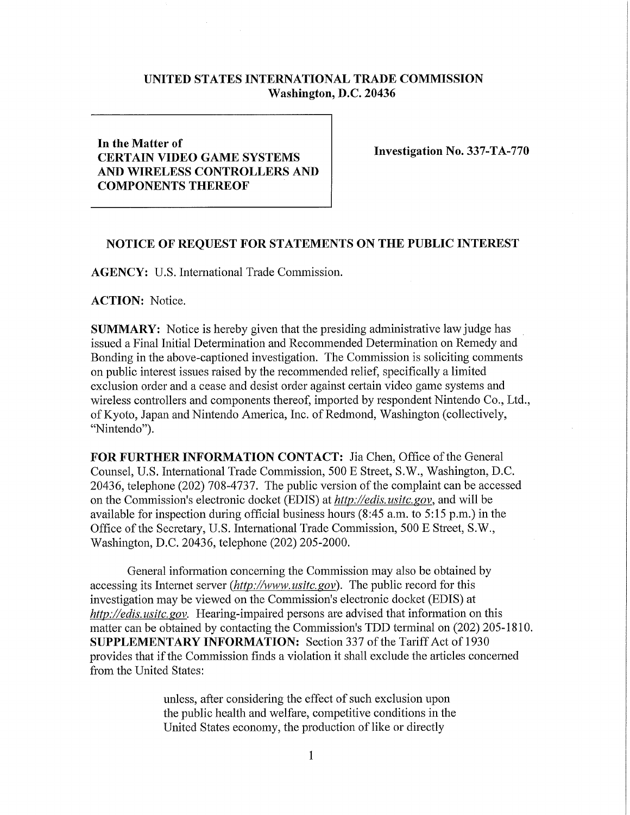## **UNITED STATES INTERNATIONAL TRADE COMMISSION Washington, D.C. 20436**

## **In the Matter of CERTAIN VIDEO GAME SYSTEMS AND WIRELESS CONTROLLERS AND COMPONENTS THEREOF**

**Investigation No. 337-TA-770** 

## **NOTICE OF REQUEST FOR STATEMENTS ON THE PUBLIC INTEREST**

**AGENCY:** U.S. International Trade Commission.

**ACTION:** Notice.

**SUMMARY:** Notice is hereby given that the presiding administrative law judge has issued a Final Initial Determination and Recommended Determination on Remedy and Bonding in the above-captioned investigation. The Commission is soliciting comments on public interest issues raised by the recommended relief, specifically a limited exclusion order and a cease and desist order against certain video game systems and wireless controllers and components thereof, imported by respondent Nintendo Co., Ltd., of Kyoto, Japan and Nintendo America, Inc. of Redmond, Washington (collectively, "Nintendo").

FOR FURTHER INFORMATION CONTACT: Jia Chen, Office of the General Counsel, U.S. International Trade Commission, 500 E Street, S.W., Washington, D.C. 20436, telephone (202) 708-4737. The public version of the complaint can be accessed on the Commission's electronic docket (EDIS) at *http://edis. usitc. gov,* and will be available for inspection during official business hours (8:45 a.m. to 5:15 p.m.) in the Office of the Secretary, U.S. International Trade Commission, 500 E Street, S.W., Washington, D.C. 20436, telephone (202) 205-2000.

General information concerning the Commission may also be obtained by accessing its Internet server *(http://www, usitc.gov).* The public record for this investigation may be viewed on the Commission's electronic docket (EDIS) at *http://edis. usitc. gov.* Hearing-impaired persons are advised that information on this matter can be obtained by contacting the Commission's TDD terminal on (202) 205-1810. **SUPPLEMENTARY INFORMATION:** Section 337 of the Tariff Act of 1930 provides that if the Commission finds a violation it shall exclude the articles concerned from the United States:

> unless, after considering the effect of such exclusion upon the public health and welfare, competitive conditions in the United States economy, the production of like or directly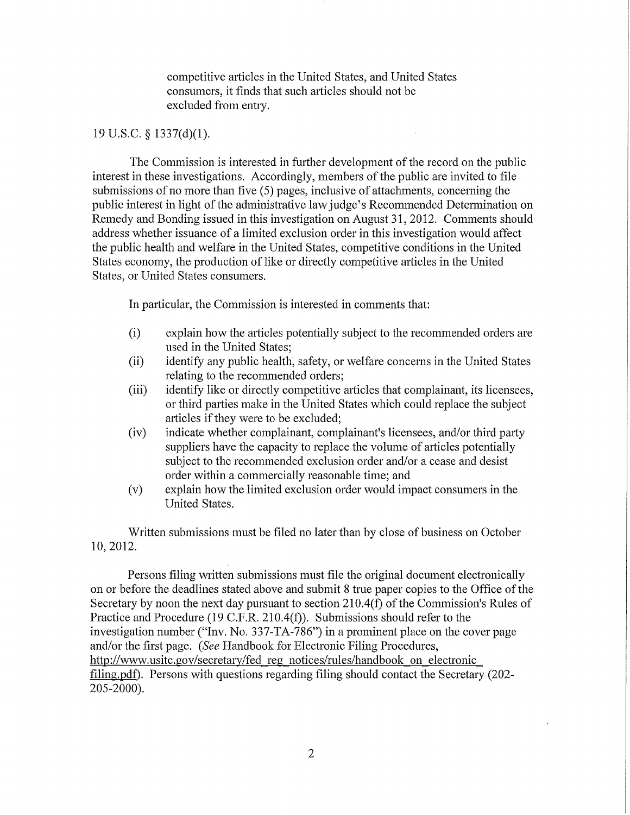competitive articles in the United States, and United States consumers, it finds that such articles should not be excluded from entry.

## 19 U.S.C. § 1337(d)(1).

The Commission is interested in further development of the record on the public interest in these investigations. Accordingly, members of the public are invited to file submissions of no more than five (5) pages, inclusive of attachments, concerning the public interest in light of the administrative law judge's Recommended Determination on Remedy and Bonding issued in this investigation on August 31, 2012. Comments should address whether issuance of a limited exclusion order in this investigation would affect the public health and welfare in the United States, competitive conditions in the United States economy, the production of like or directly competitive articles in the United States, or United States consumers.

In particular, the Commission is interested in comments that:

- (i) explain how the articles potentially subject to the recommended orders are used in the United States;
- (ii) identify any public health, safety, or welfare concems in the United States relating to the recommended orders;
- (iii) identify like or directly competitive articles that complainant, its licensees, or third parties make in the United States which could replace the subject articles if they were to be excluded;
- (iv) indicate whether complainant, complainant's licensees, and/or third party suppliers have the capacity to replace the volume of articles potentially subject to the recommended exclusion order and/or a cease and desist order within a commercially reasonable time; and
- (v) explain how the limited exclusion order would impact consumers in the United States.

Written submissions must be filed no later than by close of business on October 10, 2012.

Persons filing written submissions must file the original document electronically on or before the deadlines stated above and submit 8 true paper copies to the Office of the Secretary by noon the next day pursuant to section 210.4(f) of the Commission's Rules of Practice and Procedure (19 C.F.R. 210.4(f)). Submissions should refer to the investigation number ("Inv. No. 337-TA-786") in a prominent place on the cover page and/or the first page. *(See* Handbook for Electronic Filing Procedures, http://www.usitc.gov/secretary/fed reg\_notices/rules/handbook on electronic filing.pdf). Persons with questions regarding filing should contact the Secretary (202- 205-2000).